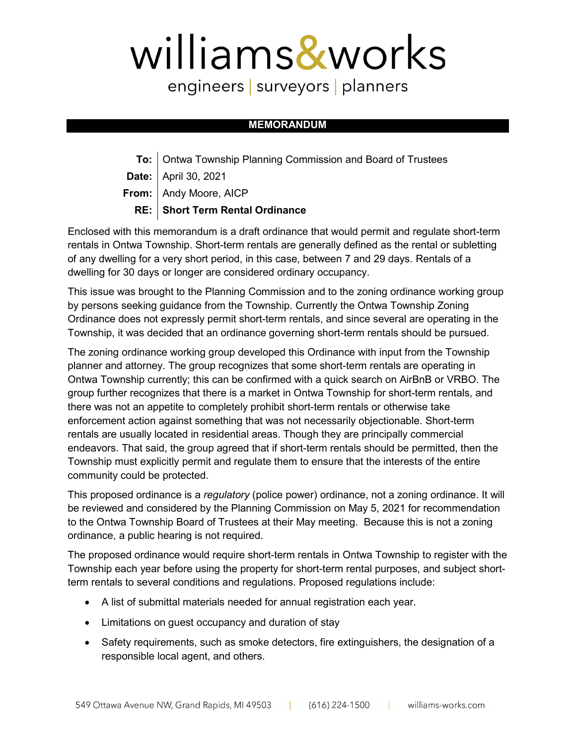## williams&works

engineers | surveyors | planners

## **MEMORANDUM**

**To:** Ontwa Township Planning Commission and Board of Trustees **Date:** April 30, 2021

**From:** Andy Moore, AICP

## **RE: Short Term Rental Ordinance**

Enclosed with this memorandum is a draft ordinance that would permit and regulate short-term rentals in Ontwa Township. Short-term rentals are generally defined as the rental or subletting of any dwelling for a very short period, in this case, between 7 and 29 days. Rentals of a dwelling for 30 days or longer are considered ordinary occupancy.

This issue was brought to the Planning Commission and to the zoning ordinance working group by persons seeking guidance from the Township. Currently the Ontwa Township Zoning Ordinance does not expressly permit short-term rentals, and since several are operating in the Township, it was decided that an ordinance governing short-term rentals should be pursued.

The zoning ordinance working group developed this Ordinance with input from the Township planner and attorney. The group recognizes that some short-term rentals are operating in Ontwa Township currently; this can be confirmed with a quick search on AirBnB or VRBO. The group further recognizes that there is a market in Ontwa Township for short-term rentals, and there was not an appetite to completely prohibit short-term rentals or otherwise take enforcement action against something that was not necessarily objectionable. Short-term rentals are usually located in residential areas. Though they are principally commercial endeavors. That said, the group agreed that if short-term rentals should be permitted, then the Township must explicitly permit and regulate them to ensure that the interests of the entire community could be protected.

This proposed ordinance is a *regulatory* (police power) ordinance, not a zoning ordinance. It will be reviewed and considered by the Planning Commission on May 5, 2021 for recommendation to the Ontwa Township Board of Trustees at their May meeting. Because this is not a zoning ordinance, a public hearing is not required.

The proposed ordinance would require short-term rentals in Ontwa Township to register with the Township each year before using the property for short-term rental purposes, and subject shortterm rentals to several conditions and regulations. Proposed regulations include:

- A list of submittal materials needed for annual registration each year.
- Limitations on guest occupancy and duration of stay
- Safety requirements, such as smoke detectors, fire extinguishers, the designation of a responsible local agent, and others.